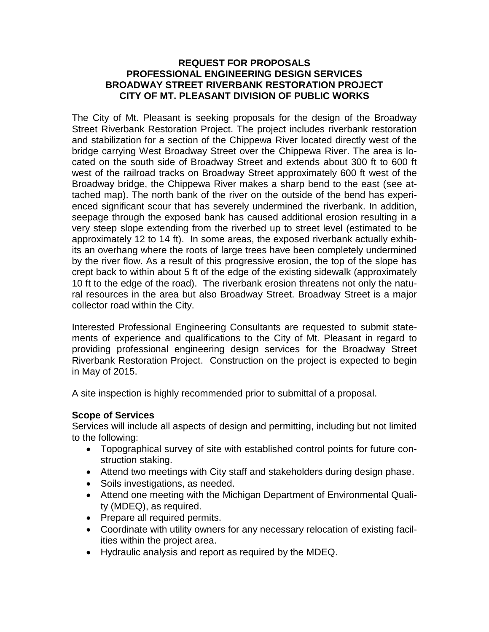#### **REQUEST FOR PROPOSALS PROFESSIONAL ENGINEERING DESIGN SERVICES BROADWAY STREET RIVERBANK RESTORATION PROJECT CITY OF MT. PLEASANT DIVISION OF PUBLIC WORKS**

The City of Mt. Pleasant is seeking proposals for the design of the Broadway Street Riverbank Restoration Project. The project includes riverbank restoration and stabilization for a section of the Chippewa River located directly west of the bridge carrying West Broadway Street over the Chippewa River. The area is located on the south side of Broadway Street and extends about 300 ft to 600 ft west of the railroad tracks on Broadway Street approximately 600 ft west of the Broadway bridge, the Chippewa River makes a sharp bend to the east (see attached map). The north bank of the river on the outside of the bend has experienced significant scour that has severely undermined the riverbank. In addition, seepage through the exposed bank has caused additional erosion resulting in a very steep slope extending from the riverbed up to street level (estimated to be approximately 12 to 14 ft). In some areas, the exposed riverbank actually exhibits an overhang where the roots of large trees have been completely undermined by the river flow. As a result of this progressive erosion, the top of the slope has crept back to within about 5 ft of the edge of the existing sidewalk (approximately 10 ft to the edge of the road). The riverbank erosion threatens not only the natural resources in the area but also Broadway Street. Broadway Street is a major collector road within the City.

Interested Professional Engineering Consultants are requested to submit statements of experience and qualifications to the City of Mt. Pleasant in regard to providing professional engineering design services for the Broadway Street Riverbank Restoration Project. Construction on the project is expected to begin in May of 2015.

A site inspection is highly recommended prior to submittal of a proposal.

# **Scope of Services**

Services will include all aspects of design and permitting, including but not limited to the following:

- Topographical survey of site with established control points for future construction staking.
- Attend two meetings with City staff and stakeholders during design phase.
- Soils investigations, as needed.
- Attend one meeting with the Michigan Department of Environmental Quality (MDEQ), as required.
- Prepare all required permits.
- Coordinate with utility owners for any necessary relocation of existing facilities within the project area.
- Hydraulic analysis and report as required by the MDEQ.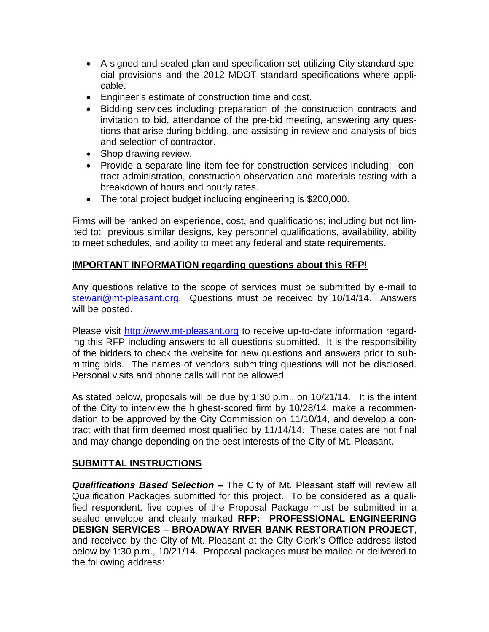- A signed and sealed plan and specification set utilizing City standard special provisions and the 2012 MDOT standard specifications where applicable.
- Engineer's estimate of construction time and cost.
- Bidding services including preparation of the construction contracts and invitation to bid, attendance of the pre-bid meeting, answering any questions that arise during bidding, and assisting in review and analysis of bids and selection of contractor.
- Shop drawing review.
- Provide a separate line item fee for construction services including: contract administration, construction observation and materials testing with a breakdown of hours and hourly rates.
- The total project budget including engineering is \$200,000.

Firms will be ranked on experience, cost, and qualifications; including but not limited to: previous similar designs, key personnel qualifications, availability, ability to meet schedules, and ability to meet any federal and state requirements.

### **IMPORTANT INFORMATION regarding questions about this RFP!**

Any questions relative to the scope of services must be submitted by e-mail to [stewari@mt-pleasant.org.](mailto:stewari@mt-pleasant.org) Questions must be received by 10/14/14. Answers will be posted.

Please visit [http://www.mt-pleasant.org](http://www.mt-pleasant.org/departments/division_of_admin_and_financial_services/finance/bids_and_quotes.asp) to receive up-to-date information regarding this RFP including answers to all questions submitted. It is the responsibility of the bidders to check the website for new questions and answers prior to submitting bids. The names of vendors submitting questions will not be disclosed. Personal visits and phone calls will not be allowed.

As stated below, proposals will be due by 1:30 p.m., on 10/21/14. It is the intent of the City to interview the highest-scored firm by 10/28/14, make a recommendation to be approved by the City Commission on 11/10/14, and develop a contract with that firm deemed most qualified by 11/14/14. These dates are not final and may change depending on the best interests of the City of Mt. Pleasant.

#### **SUBMITTAL INSTRUCTIONS**

*Qualifications Based Selection –* The City of Mt. Pleasant staff will review all Qualification Packages submitted for this project. To be considered as a qualified respondent, five copies of the Proposal Package must be submitted in a sealed envelope and clearly marked **RFP: PROFESSIONAL ENGINEERING DESIGN SERVICES – BROADWAY RIVER BANK RESTORATION PROJECT**, and received by the City of Mt. Pleasant at the City Clerk's Office address listed below by 1:30 p.m., 10/21/14. Proposal packages must be mailed or delivered to the following address: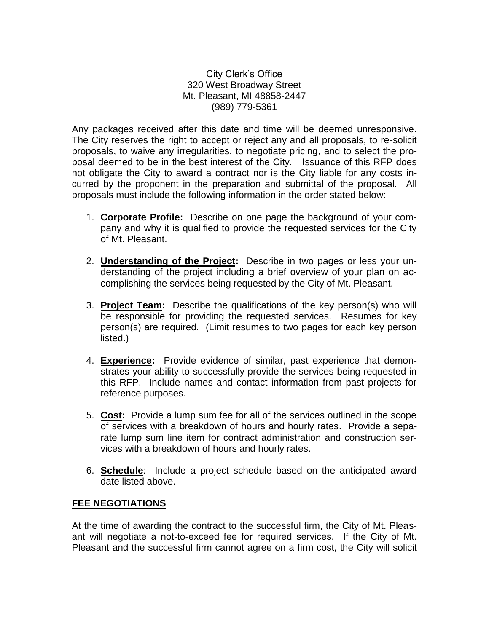City Clerk's Office 320 West Broadway Street Mt. Pleasant, MI 48858-2447 (989) 779-5361

Any packages received after this date and time will be deemed unresponsive. The City reserves the right to accept or reject any and all proposals, to re-solicit proposals, to waive any irregularities, to negotiate pricing, and to select the proposal deemed to be in the best interest of the City. Issuance of this RFP does not obligate the City to award a contract nor is the City liable for any costs incurred by the proponent in the preparation and submittal of the proposal. All proposals must include the following information in the order stated below:

- 1. **Corporate Profile:** Describe on one page the background of your company and why it is qualified to provide the requested services for the City of Mt. Pleasant.
- 2. **Understanding of the Project:** Describe in two pages or less your understanding of the project including a brief overview of your plan on accomplishing the services being requested by the City of Mt. Pleasant.
- 3. **Project Team:** Describe the qualifications of the key person(s) who will be responsible for providing the requested services. Resumes for key person(s) are required. (Limit resumes to two pages for each key person listed.)
- 4. **Experience:** Provide evidence of similar, past experience that demonstrates your ability to successfully provide the services being requested in this RFP. Include names and contact information from past projects for reference purposes.
- 5. **Cost:** Provide a lump sum fee for all of the services outlined in the scope of services with a breakdown of hours and hourly rates. Provide a separate lump sum line item for contract administration and construction services with a breakdown of hours and hourly rates.
- 6. **Schedule**: Include a project schedule based on the anticipated award date listed above.

# **FEE NEGOTIATIONS**

At the time of awarding the contract to the successful firm, the City of Mt. Pleasant will negotiate a not-to-exceed fee for required services. If the City of Mt. Pleasant and the successful firm cannot agree on a firm cost, the City will solicit